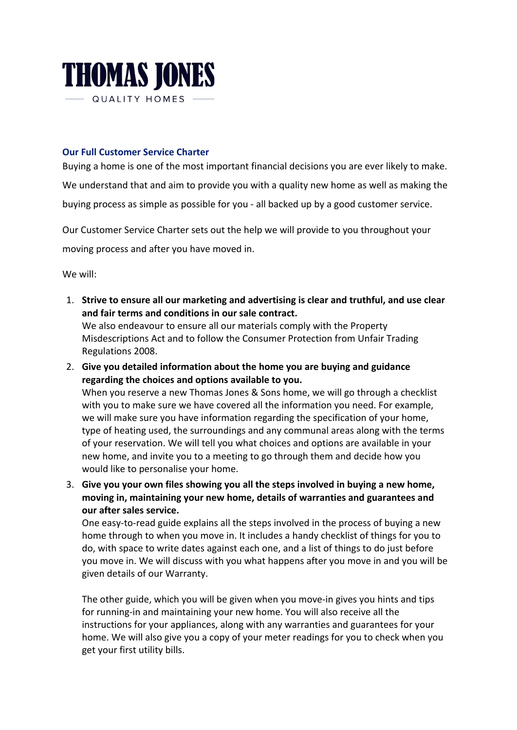

## **Our Full Customer Service Charter**

Buying a home is one of the most important financial decisions you are ever likely to make.

We understand that and aim to provide you with a quality new home as well as making the buying process as simple as possible for you - all backed up by a good customer service.

Our Customer Service Charter sets out the help we will provide to you throughout your moving process and after you have moved in.

We will:

1. Strive to ensure all our marketing and advertising is clear and truthful, and use clear and fair terms and conditions in our sale contract. We also endeavour to ensure all our materials comply with the Property

Misdescriptions Act and to follow the Consumer Protection from Unfair Trading Regulations 2008.

- 2. Give you detailed information about the home you are buying and guidance regarding the choices and options available to you. When you reserve a new Thomas Jones & Sons home, we will go through a checklist with you to make sure we have covered all the information you need. For example, we will make sure you have information regarding the specification of your home, type of heating used, the surroundings and any communal areas along with the terms of your reservation. We will tell you what choices and options are available in your new home, and invite you to a meeting to go through them and decide how you would like to personalise your home.
- 3. Give you your own files showing you all the steps involved in buying a new home, moving in, maintaining your new home, details of warranties and guarantees and **our after sales service.**

One easy-to-read guide explains all the steps involved in the process of buying a new home through to when you move in. It includes a handy checklist of things for you to do, with space to write dates against each one, and a list of things to do just before you move in. We will discuss with you what happens after you move in and you will be given details of our Warranty.

The other guide, which you will be given when you move-in gives you hints and tips for running-in and maintaining your new home. You will also receive all the instructions for your appliances, along with any warranties and guarantees for your home. We will also give you a copy of your meter readings for you to check when you get your first utility bills.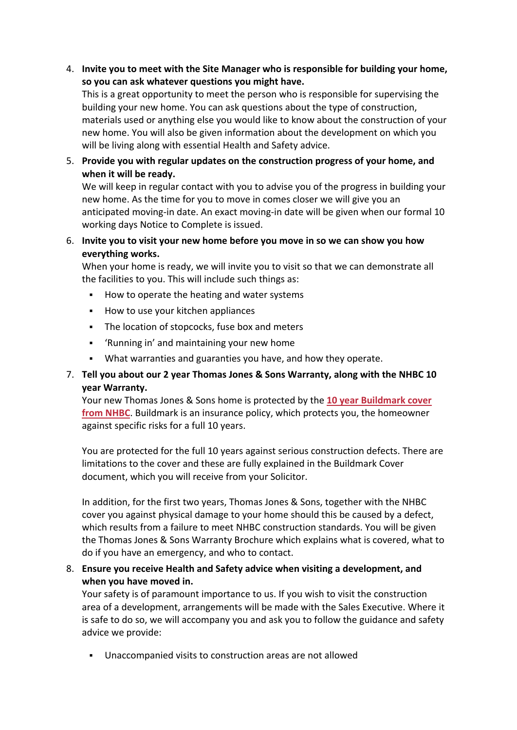## 4. Invite you to meet with the Site Manager who is responsible for building your home, so you can ask whatever questions you might have.

This is a great opportunity to meet the person who is responsible for supervising the building your new home. You can ask questions about the type of construction, materials used or anything else you would like to know about the construction of your new home. You will also be given information about the development on which you will be living along with essential Health and Safety advice.

5. Provide you with regular updates on the construction progress of your home, and when it will be ready.

We will keep in regular contact with you to advise you of the progress in building your new home. As the time for you to move in comes closer we will give you an anticipated moving-in date. An exact moving-in date will be given when our formal 10 working days Notice to Complete is issued.

6. Invite you to visit your new home before you move in so we can show you how **everything works.**

When your home is ready, we will invite you to visit so that we can demonstrate all the facilities to you. This will include such things as:

- How to operate the heating and water systems
- How to use your kitchen appliances
- The location of stopcocks, fuse box and meters
- 'Running in' and maintaining your new home
- What warranties and guaranties you have, and how they operate.

## 7. **Tell you about our 2 year Thomas Jones & Sons Warranty, along with the NHBC 10 year Warranty.**

Your new Thomas Jones & Sons home is protected by the 10 year Buildmark cover **from NHBC**. Buildmark is an insurance policy, which protects you, the homeowner against specific risks for a full 10 years.

You are protected for the full 10 years against serious construction defects. There are limitations to the cover and these are fully explained in the Buildmark Cover document, which you will receive from your Solicitor.

In addition, for the first two years, Thomas Jones & Sons, together with the NHBC cover you against physical damage to your home should this be caused by a defect, which results from a failure to meet NHBC construction standards. You will be given the Thomas Jones & Sons Warranty Brochure which explains what is covered, what to do if you have an emergency, and who to contact.

8. Ensure you receive Health and Safety advice when visiting a development, and when you have moved in.

Your safety is of paramount importance to us. If you wish to visit the construction area of a development, arrangements will be made with the Sales Executive. Where it is safe to do so, we will accompany you and ask you to follow the guidance and safety advice we provide:

Unaccompanied visits to construction areas are not allowed